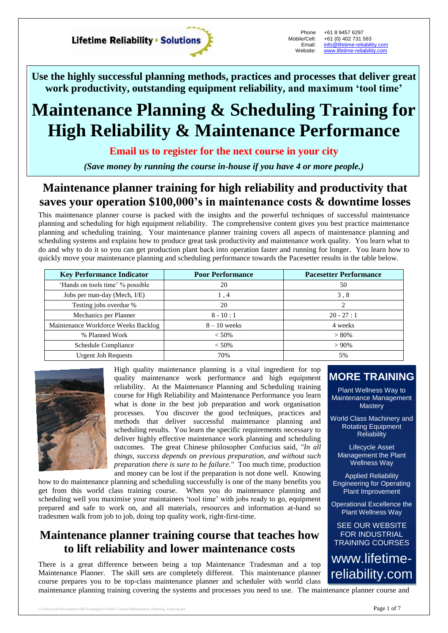**Lifetime Reliability • Solutions** 

Phone Mobile/Cell: Email: Website:

+61 8 9457 6297 +61 (0) 402 731 563 [info@lifetime-reliability.com](mailto:info@lifetime-reliability.com) [www.lifetime-reliability.com](http://www.lifetime-reliability.com/)

**Use the highly successful planning methods, practices and processes that deliver great work productivity, outstanding equipment reliability, and maximum 'tool time'**

# **Maintenance Planning & Scheduling Training for High Reliability & Maintenance Performance**

**Email us to register for the next course in your city**

*(Save money by running the course in-house if you have 4 or more people.)*

# **Maintenance planner training for high reliability and productivity that saves your operation \$100,000's in maintenance costs & downtime losses**

This maintenance planner course is packed with the insights and the powerful techniques of successful maintenance planning and scheduling for high equipment reliability. The comprehensive content gives you best practice maintenance planning and scheduling training. Your maintenance planner training covers all aspects of maintenance planning and scheduling systems and explains how to produce great task productivity and maintenance work quality. You learn what to do and why to do it so you can get production plant back into operation faster and running for longer. You learn how to quickly move your maintenance planning and scheduling performance towards the Pacesetter results in the table below.

| <b>Key Performance Indicator</b>    | <b>Poor Performance</b> | <b>Pacesetter Performance</b> |
|-------------------------------------|-------------------------|-------------------------------|
| 'Hands on tools time' % possible    | 20                      | 50                            |
| Jobs per man-day (Mech, I/E)        | 1,4                     | 3.8                           |
| Testing jobs overdue %              | 20                      | ာ                             |
| Mechanics per Planner               | $8 - 10 : 1$            | $20 - 27 : 1$                 |
| Maintenance Workforce Weeks Backlog | $8 - 10$ weeks          | 4 weeks                       |
| % Planned Work                      | $< 50\%$                | $> 80\%$                      |
| Schedule Compliance                 | $< 50\%$                | $> 90\%$                      |
| <b>Urgent Job Requests</b>          | 70%                     | 5%                            |



High quality maintenance planning is a vital ingredient for top quality maintenance work performance and high equipment reliability. At the Maintenance Planning and Scheduling training course for High Reliability and Maintenance Performance you learn what is done in the best job preparation and work organisation processes. You discover the good techniques, practices and methods that deliver successful maintenance planning and scheduling results. You learn the specific requirements necessary to deliver highly effective maintenance work planning and scheduling outcomes. The great Chinese philosopher Confucius said, *"In all things, success depends on previous preparation, and without such preparation there is sure to be failure."* Too much time, production and money can be lost if the preparation is not done well. Knowing

how to do maintenance planning and scheduling successfully is one of the many benefits you get from this world class training course. When you do maintenance planning and scheduling well you maximise your maintainers 'tool time' with jobs ready to go, equipment prepared and safe to work on, and all materials, resources and information at-hand so tradesmen walk from job to job, doing top quality work, right-first-time.

# **Maintenance planner training course that teaches how to lift reliability and lower maintenance costs**

There is a great difference between being a top Maintenance Tradesman and a top Maintenance Planner. The skill sets are completely different. This maintenance planner course prepares you to be top-class maintenance planner and scheduler with world class maintenance planning training covering the systems and processes you need to use. The maintenance planner course and

## **MORE TRAINING**

Plant Wellness Way to Maintenance Management **Mastery** 

World Class Machinery and Rotating Equipment **Reliability** 

Lifecycle Asset Management the Plant Wellness Way

Applied Reliability Engineering for Operating Plant Improvement

Operational Excellence the Plant Wellness Way

SEE OUR WEBSITE FOR INDUSTRIAL TRAINING COURSES

www.lifetimereliability.com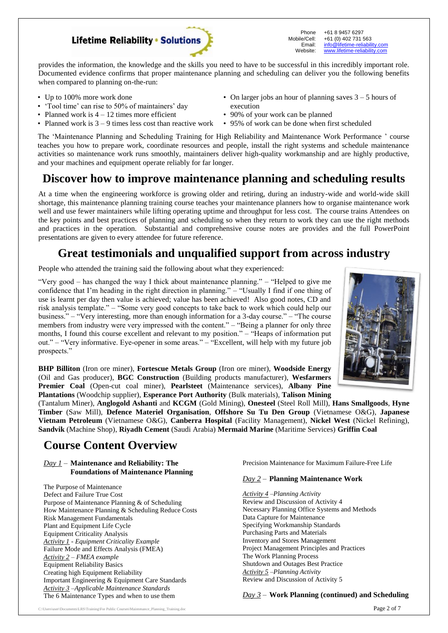### **Lifetime Reliability • Solutions**

Phone Mobile/Cell: Email: Website: +61 8 9457 6297 +61 (0) 402 731 563 [info@lifetime-reliability.com](mailto:info@lifetime-reliability.com) [www.lifetime-reliability.com](http://www.lifetime-reliability.com/)

provides the information, the knowledge and the skills you need to have to be successful in this incredibly important role. Documented evidence confirms that proper maintenance planning and scheduling can deliver you the following benefits when compared to planning on-the-run:

- Up to 100% more work done
- 'Tool time' can rise to 50% of maintainers' day
- Planned work is  $4 12$  times more efficient
- Planned work is  $3 9$  times less cost than reactive work 95% of work can be done when first scheduled
- On larger jobs an hour of planning saves  $3 5$  hours of execution
- 90% of your work can be planned
- 

The 'Maintenance Planning and Scheduling Training for High Reliability and Maintenance Work Performance ' course teaches you how to prepare work, coordinate resources and people, install the right systems and schedule maintenance activities so maintenance work runs smoothly, maintainers deliver high-quality workmanship and are highly productive, and your machines and equipment operate reliably for far longer.

## **Discover how to improve maintenance planning and scheduling results**

At a time when the engineering workforce is growing older and retiring, during an industry-wide and world-wide skill shortage, this maintenance planning training course teaches your maintenance planners how to organise maintenance work well and use fewer maintainers while lifting operating uptime and throughput for less cost. The course trains Attendees on the key points and best practices of planning and scheduling so when they return to work they can use the right methods and practices in the operation. Substantial and comprehensive course notes are provides and the full PowerPoint presentations are given to every attendee for future reference.

# **Great testimonials and unqualified support from across industry**

People who attended the training said the following about what they experienced:

"Very good – has changed the way I thick about maintenance planning." – "Helped to give me confidence that I'm heading in the right direction in planning." – "Usually I find if one thing of use is learnt per day then value is achieved; value has been achieved! Also good notes, CD and risk analysis template." – "Some very good concepts to take back to work which could help our business." – "Very interesting, more than enough information for a 3-day course." – "The course members from industry were very impressed with the content." – "Being a planner for only three months, I found this course excellent and relevant to my position." – "Heaps of information put out." – "Very informative. Eye-opener in some areas." – "Excellent, will help with my future job prospects."



**BHP Billiton** (Iron ore miner), **Fortescue Metals Group** (Iron ore miner), **Woodside Energy** (Oil and Gas producer), **BGC Construction** (Building products manufacturer), **Wesfarmers Premier Coal** (Open-cut coal miner), **Pearlsteet** (Maintenance services), **Albany Pine Plantations** (Woodchip supplier), **Esperance Port Authority** (Bulk materials), **Talison Mining**

(Tantalum Miner), **Anglogold Ashanti** and **KCGM** (Gold Mining), **Onesteel** (Steel Roll Mill), **Hans Smallgoods**, **Hyne Timber** (Saw Mill), **Defence Materiel Organisation**, **Offshore Su Tu Den Group** (Vietnamese O&G), **Japanese Vietnam Petroleum** (Vietnamese O&G), **Canberra Hospital** (Facility Management), **Nickel West** (Nickel Refining), **Sandvik** (Machine Shop), **Riyadh Cement** (Saudi Arabia) **Mermaid Marine** (Maritime Services) **Griffin Coal**

# **Course Content Overview**

#### *Day 1* – **Maintenance and Reliability: The Foundations of Maintenance Planning**

The Purpose of Maintenance Defect and Failure True Cost Purpose of Maintenance Planning & of Scheduling How Maintenance Planning & Scheduling Reduce Costs Risk Management Fundamentals Plant and Equipment Life Cycle Equipment Criticality Analysis *Activity 1 - Equipment Criticality Example* Failure Mode and Effects Analysis (FMEA) *Activity 2 – FMEA example* Equipment Reliability Basics Creating high Equipment Reliability Important Engineering & Equipment Care Standards *Activity 3 –Applicable Maintenance Standards* The 6 Maintenance Types and when to use them

Precision Maintenance for Maximum Failure-Free Life

#### *Day 2* – **Planning Maintenance Work**

*Activity 4 –Planning Activity* Review and Discussion of Activity 4 Necessary Planning Office Systems and Methods Data Capture for Maintenance Specifying Workmanship Standards Purchasing Parts and Materials Inventory and Stores Management Project Management Principles and Practices The Work Planning Process Shutdown and Outages Best Practice *Activity 5 –Planning Activity* Review and Discussion of Activity 5

#### *Day 3* – **Work Planning (continued) and Scheduling**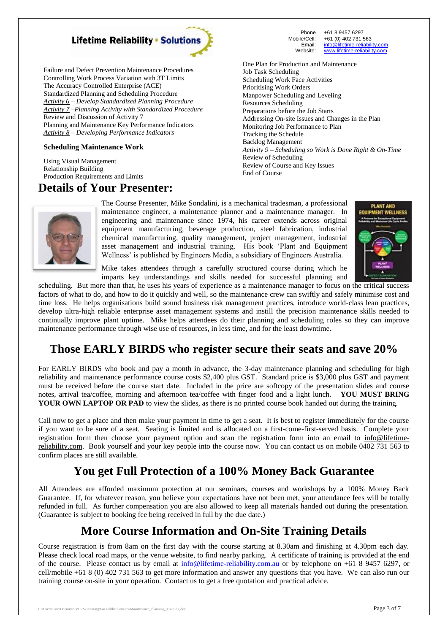

Failure and Defect Prevention Maintenance Procedures Controlling Work Process Variation with 3T Limits The Accuracy Controlled Enterprise (ACE) Standardized Planning and Scheduling Procedure *Activity 6 – Develop Standardized Planning Procedure Activity 7 –Planning Activity with Standardized Procedure* Review and Discussion of Activity 7 Planning and Maintenance Key Performance Indicators *Activity 8 – Developing Performance Indicators*

#### **Scheduling Maintenance Work**

Using Visual Management Relationship Building Production Requirements and Limits

### **Details of Your Presenter:**

Phone Mobile/Cell: Email: Website: +61 8 9457 6297 +61 (0) 402 731 563 [info@lifetime-reliability.com](mailto:info@lifetime-reliability.com) [www.lifetime-reliability.com](http://www.lifetime-reliability.com/)

One Plan for Production and Maintenance Job Task Scheduling Scheduling Work Face Activities Prioritising Work Orders Manpower Scheduling and Leveling Resources Scheduling Preparations before the Job Starts Addressing On-site Issues and Changes in the Plan Monitoring Job Performance to Plan Tracking the Schedule Backlog Management *Activity 9 – Scheduling so Work is Done Right & On-Time* Review of Scheduling Review of Course and Key Issues End of Course



The Course Presenter, Mike Sondalini, is a mechanical tradesman, a professional maintenance engineer, a maintenance planner and a maintenance manager. In engineering and maintenance since 1974, his career extends across original equipment manufacturing, beverage production, steel fabrication, industrial chemical manufacturing, quality management, project management, industrial asset management and industrial training. His book 'Plant and Equipment Wellness' is published by Engineers Media, a subsidiary of Engineers Australia.



Mike takes attendees through a carefully structured course during which he imparts key understandings and skills needed for successful planning and

scheduling. But more than that, he uses his years of experience as a maintenance manager to focus on the critical success factors of what to do, and how to do it quickly and well, so the maintenance crew can swiftly and safely minimise cost and time loss. He helps organisations build sound business risk management practices, introduce world-class lean practices, develop ultra-high reliable enterprise asset management systems and instill the precision maintenance skills needed to continually improve plant uptime. Mike helps attendees do their planning and scheduling roles so they can improve maintenance performance through wise use of resources, in less time, and for the least downtime.

# **Those EARLY BIRDS who register secure their seats and save 20%**

For EARLY BIRDS who book and pay a month in advance, the 3-day maintenance planning and scheduling for high reliability and maintenance performance course costs \$2,400 plus GST. Standard price is \$3,000 plus GST and payment must be received before the course start date. Included in the price are softcopy of the presentation slides and course notes, arrival tea/coffee, morning and afternoon tea/coffee with finger food and a light lunch. **YOU MUST BRING YOUR OWN LAPTOP OR PAD** to view the slides, as there is no printed course book handed out during the training.

Call now to get a place and then make your payment in time to get a seat. It is best to register immediately for the course if you want to be sure of a seat. Seating is limited and is allocated on a first-come-first-served basis. Complete your registration form then choose your payment option and scan the registration form into an email to info@lifetimereliability.com. Book yourself and your key people into the course now. You can contact us on mobile 0402 731 563 to confirm places are still available.

# **You get Full Protection of a 100% Money Back Guarantee**

All Attendees are afforded maximum protection at our seminars, courses and workshops by a 100% Money Back Guarantee. If, for whatever reason, you believe your expectations have not been met, your attendance fees will be totally refunded in full. As further compensation you are also allowed to keep all materials handed out during the presentation. (Guarantee is subject to booking fee being received in full by the due date.)

# **More Course Information and On-Site Training Details**

Course registration is from 8am on the first day with the course starting at 8.30am and finishing at 4.30pm each day. Please check local road maps, or the venue website, to find nearby parking. A certificate of training is provided at the end of the course. Please contact us by email at  $\frac{info@lifetime-reliability.com.au}{info@lifetime-reliability.com.au}$  or by telephone on +61 8 9457 6297, or cell/mobile +61 8 (0) 402 731 563 to get more information and answer any questions that you have. We can also run our training course on-site in your operation. Contact us to get a free quotation and practical advice.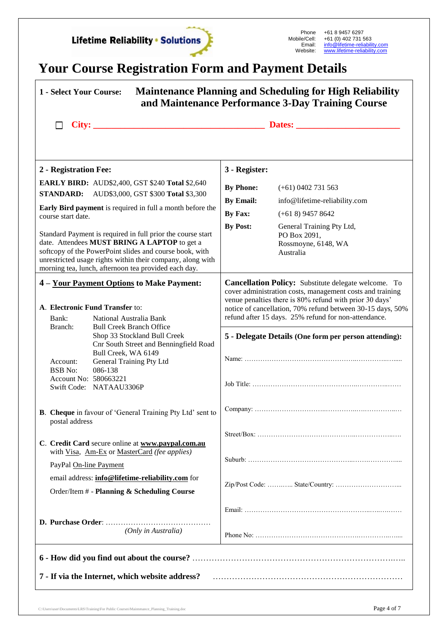

# **Your Course Registration Form and Payment Details**

| <b>Maintenance Planning and Scheduling for High Reliability</b><br><b>1 - Select Your Course:</b><br>and Maintenance Performance 3-Day Training Course                                                                                                                                                                                                                                                                                                                                               |                                                                                                                                                                                                                                                                                                           |  |  |
|------------------------------------------------------------------------------------------------------------------------------------------------------------------------------------------------------------------------------------------------------------------------------------------------------------------------------------------------------------------------------------------------------------------------------------------------------------------------------------------------------|-----------------------------------------------------------------------------------------------------------------------------------------------------------------------------------------------------------------------------------------------------------------------------------------------------------|--|--|
| City:<br><b>Dates:</b>                                                                                                                                                                                                                                                                                                                                                                                                                                                                               |                                                                                                                                                                                                                                                                                                           |  |  |
| 2 - Registration Fee:                                                                                                                                                                                                                                                                                                                                                                                                                                                                                | 3 - Register:                                                                                                                                                                                                                                                                                             |  |  |
| <b>EARLY BIRD: AUD\$2,400, GST \$240 Total \$2,640</b><br>AUD\$3,000, GST \$300 Total \$3,300<br><b>STANDARD:</b><br>Early Bird payment is required in full a month before the<br>course start date.<br>Standard Payment is required in full prior the course start<br>date. Attendees MUST BRING A LAPTOP to get a<br>softcopy of the PowerPoint slides and course book, with<br>unrestricted usage rights within their company, along with<br>morning tea, lunch, afternoon tea provided each day. | <b>By Phone:</b><br>$(+61)$ 0402 731 563<br><b>By Email:</b><br>info@lifetime-reliability.com<br>By Fax:<br>$(+618)$ 9457 8642<br><b>By Post:</b><br>General Training Pty Ltd,<br>PO Box 2091,<br>Rossmoyne, 6148, WA<br>Australia                                                                        |  |  |
| 4 - Your Payment Options to Make Payment:<br>A. Electronic Fund Transfer to:<br>Bank:<br>National Australia Bank                                                                                                                                                                                                                                                                                                                                                                                     | <b>Cancellation Policy:</b> Substitute delegate welcome. To<br>cover administration costs, management costs and training<br>venue penalties there is 80% refund with prior 30 days'<br>notice of cancellation, 70% refund between 30-15 days, 50%<br>refund after 15 days. 25% refund for non-attendance. |  |  |
| Branch:<br><b>Bull Creek Branch Office</b><br>Shop 33 Stockland Bull Creek<br>Cnr South Street and Benningfield Road<br>Bull Creek, WA 6149<br>General Training Pty Ltd<br>Account:<br><b>BSB</b> No:<br>086-138<br>Account No: 580663221<br>Swift Code: NATAAU3306P                                                                                                                                                                                                                                 | 5 - Delegate Details (One form per person attending):                                                                                                                                                                                                                                                     |  |  |
| <b>B.</b> Cheque in favour of 'General Training Pty Ltd' sent to<br>postal address                                                                                                                                                                                                                                                                                                                                                                                                                   |                                                                                                                                                                                                                                                                                                           |  |  |
| C. Credit Card secure online at www.paypal.com.au<br>with Visa, Am-Ex or MasterCard (fee applies)                                                                                                                                                                                                                                                                                                                                                                                                    |                                                                                                                                                                                                                                                                                                           |  |  |
| PayPal On-line Payment<br>email address: <i>info@lifetime-reliability.com</i> for<br>Order/Item # - Planning & Scheduling Course                                                                                                                                                                                                                                                                                                                                                                     |                                                                                                                                                                                                                                                                                                           |  |  |
| (Only in Australia)                                                                                                                                                                                                                                                                                                                                                                                                                                                                                  | Phone No: $\ldots$ , $\ldots$ , $\ldots$ , $\ldots$ , $\ldots$ , $\ldots$ , $\ldots$ , $\ldots$ , $\ldots$ , $\ldots$ , $\ldots$ , $\ldots$                                                                                                                                                               |  |  |
| 7 - If via the Internet, which website address?                                                                                                                                                                                                                                                                                                                                                                                                                                                      |                                                                                                                                                                                                                                                                                                           |  |  |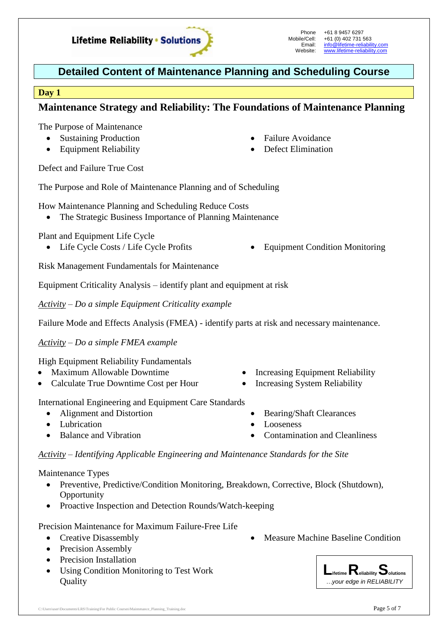

- Maximum Allowable Downtime
- 

International Engineering and Equipment Care Standards

- Alignment and Distortion
- Lubrication
- Balance and Vibration

*Activity – Identifying Applicable Engineering and Maintenance Standards for the Site*

Maintenance Types

- Preventive, Predictive/Condition Monitoring, Breakdown, Corrective, Block (Shutdown), **Opportunity**
- Proactive Inspection and Detection Rounds/Watch-keeping

Precision Maintenance for Maximum Failure-Free Life

- Creative Disassembly
- Precision Assembly
- Precision Installation
- Using Condition Monitoring to Test Work **Ouality**
- Measure Machine Baseline Condition

# **Detailed Content of Maintenance Planning and Scheduling Course**

#### **Day 1**

### **Maintenance Strategy and Reliability: The Foundations of Maintenance Planning**

The Purpose of Maintenance

- Sustaining Production
- Equipment Reliability
- Failure Avoidance
- Defect Elimination

Defect and Failure True Cost

The Purpose and Role of Maintenance Planning and of Scheduling

How Maintenance Planning and Scheduling Reduce Costs

The Strategic Business Importance of Planning Maintenance

Plant and Equipment Life Cycle

- Life Cycle Costs / Life Cycle Profits Equipment Condition Monitoring
- 

Risk Management Fundamentals for Maintenance

Equipment Criticality Analysis – identify plant and equipment at risk

*Activity – Do a simple Equipment Criticality example*

Failure Mode and Effects Analysis (FMEA) - identify parts at risk and necessary maintenance.

*Activity – Do a simple FMEA example*

High Equipment Reliability Fundamentals

- 
- Calculate True Downtime Cost per Hour
- Increasing Equipment Reliability • Increasing System Reliability

Bearing/Shaft Clearances

Contamination and Cleanliness

Looseness



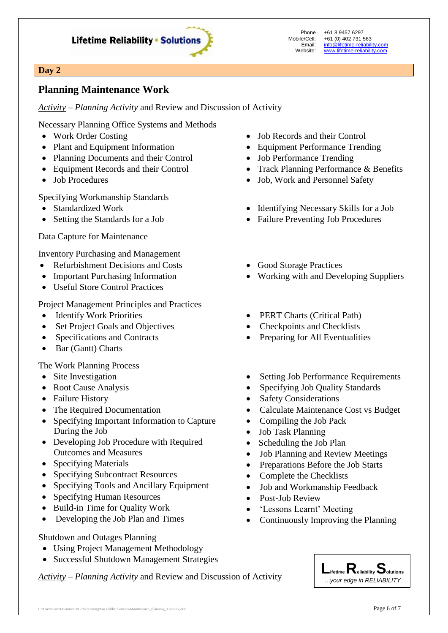

+61 8 9457 6297 +61 (0) 402 731 563 [info@lifetime-reliability.com](mailto:info@lifetime-reliability.com) [www.lifetime-reliability.com](http://www.lifetime-reliability.com/)

#### **Day 2**

### **Planning Maintenance Work**

*Activity – Planning Activity* and Review and Discussion of Activity

Necessary Planning Office Systems and Methods

- Work Order Costing
- Plant and Equipment Information
- Planning Documents and their Control
- Equipment Records and their Control
- Job Procedures

Specifying Workmanship Standards

- Standardized Work
- Setting the Standards for a Job

Data Capture for Maintenance

Inventory Purchasing and Management

- Refurbishment Decisions and Costs
- Important Purchasing Information
- Useful Store Control Practices

Project Management Principles and Practices

- Identify Work Priorities
- Set Project Goals and Objectives
- Specifications and Contracts
- Bar (Gantt) Charts

The Work Planning Process

- Site Investigation
- Root Cause Analysis
- Failure History
- The Required Documentation
- Specifying Important Information to Capture During the Job
- Developing Job Procedure with Required Outcomes and Measures
- Specifying Materials
- Specifying Subcontract Resources
- Specifying Tools and Ancillary Equipment
- Specifying Human Resources
- Build-in Time for Quality Work
- Developing the Job Plan and Times

#### Shutdown and Outages Planning

- Using Project Management Methodology
- Successful Shutdown Management Strategies

*Activity – Planning Activity* and Review and Discussion of Activity

- Job Records and their Control
- Equipment Performance Trending
- Job Performance Trending
- Track Planning Performance & Benefits
- Job, Work and Personnel Safety
- Identifying Necessary Skills for a Job
- Failure Preventing Job Procedures
- Good Storage Practices
- Working with and Developing Suppliers
- PERT Charts (Critical Path)
- Checkpoints and Checklists
- Preparing for All Eventualities
- Setting Job Performance Requirements
- Specifying Job Quality Standards
- Safety Considerations
- Calculate Maintenance Cost vs Budget
- Compiling the Job Pack
- Job Task Planning
- Scheduling the Job Plan
- Job Planning and Review Meetings
- Preparations Before the Job Starts
- Complete the Checklists
- Job and Workmanship Feedback
- Post-Job Review
- 'Lessons Learnt' Meeting
- Continuously Improving the Planning